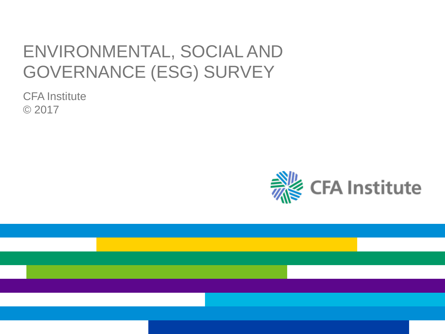# ENVIRONMENTAL, SOCIAL AND GOVERNANCE (ESG) SURVEY

CFA Institute © 2017

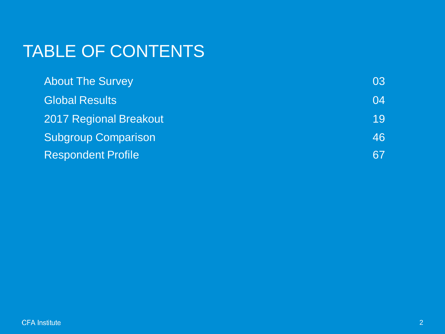# TABLE OF CONTENTS

| <b>About The Survey</b>    | 03 |
|----------------------------|----|
| <b>Global Results</b>      | 04 |
| 2017 Regional Breakout     | 19 |
| <b>Subgroup Comparison</b> | 46 |
| <b>Respondent Profile</b>  | 67 |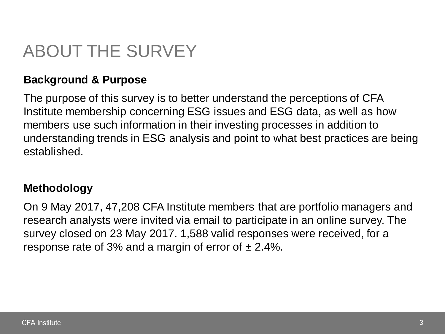# ABOUT THE SURVEY

## **Background & Purpose**

The purpose of this survey is to better understand the perceptions of CFA Institute membership concerning ESG issues and ESG data, as well as how members use such information in their investing processes in addition to understanding trends in ESG analysis and point to what best practices are being established.

## **Methodology**

On 9 May 2017, 47,208 CFA Institute members that are portfolio managers and research analysts were invited via email to participate in an online survey. The survey closed on 23 May 2017. 1,588 valid responses were received, for a response rate of 3% and a margin of error of  $\pm$  2.4%.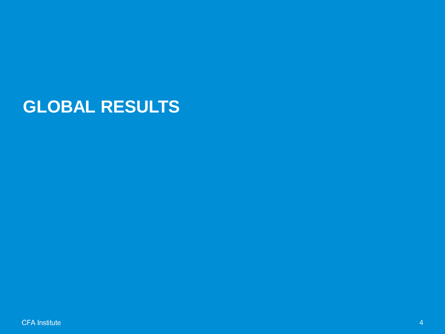## **GLOBAL RESULTS**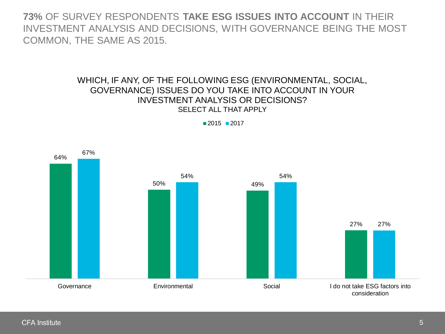**73%** OF SURVEY RESPONDENTS **TAKE ESG ISSUES INTO ACCOUNT** IN THEIR INVESTMENT ANALYSIS AND DECISIONS, WITH GOVERNANCE BEING THE MOST COMMON, THE SAME AS 2015.

#### WHICH, IF ANY, OF THE FOLLOWING ESG (ENVIRONMENTAL, SOCIAL, GOVERNANCE) ISSUES DO YOU TAKE INTO ACCOUNT IN YOUR INVESTMENT ANALYSIS OR DECISIONS? SELECT ALL THAT APPLY



 $2015$  2017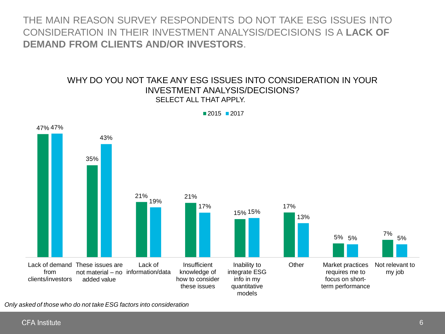THE MAIN REASON SURVEY RESPONDENTS DO NOT TAKE ESG ISSUES INTO CONSIDERATION IN THEIR INVESTMENT ANALYSIS/DECISIONS IS A **LACK OF DEMAND FROM CLIENTS AND/OR INVESTORS**.

#### WHY DO YOU NOT TAKE ANY ESG ISSUES INTO CONSIDERATION IN YOUR INVESTMENT ANALYSIS/DECISIONS? SELECT ALL THAT APPLY.



 $2015$  2017

*Only asked of those who do not take ESG factors into consideration*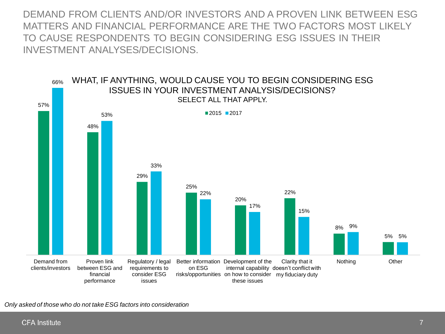DEMAND FROM CLIENTS AND/OR INVESTORS AND A PROVEN LINK BETWEEN ESG MATTERS AND FINANCIAL PERFORMANCE ARE THE TWO FACTORS MOST LIKELY TO CAUSE RESPONDENTS TO BEGIN CONSIDERING ESG ISSUES IN THEIR INVESTMENT ANALYSES/DECISIONS.



*Only asked of those who do not take ESG factors into consideration*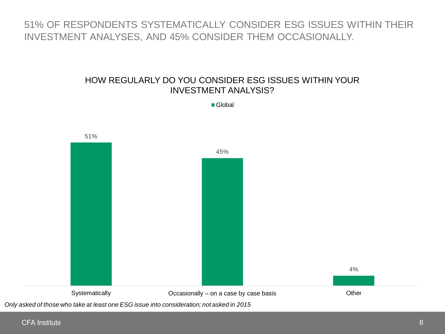## 51% OF RESPONDENTS SYSTEMATICALLY CONSIDER ESG ISSUES WITHIN THEIR INVESTMENT ANALYSES, AND 45% CONSIDER THEM OCCASIONALLY.

#### HOW REGULARLY DO YOU CONSIDER ESG ISSUES WITHIN YOUR INVESTMENT ANALYSIS?

■ Global

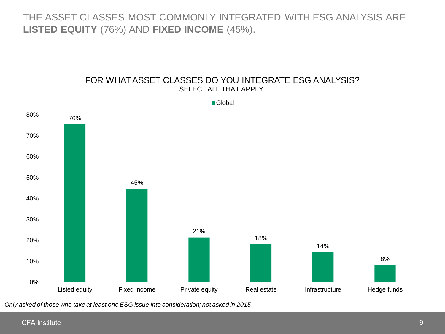THE ASSET CLASSES MOST COMMONLY INTEGRATED WITH ESG ANALYSIS ARE **LISTED EQUITY** (76%) AND **FIXED INCOME** (45%).

#### FOR WHAT ASSET CLASSES DO YOU INTEGRATE ESG ANALYSIS? SELECT ALL THAT APPLY.



*Only asked of those who take at least one ESG issue into consideration; not asked in 2015*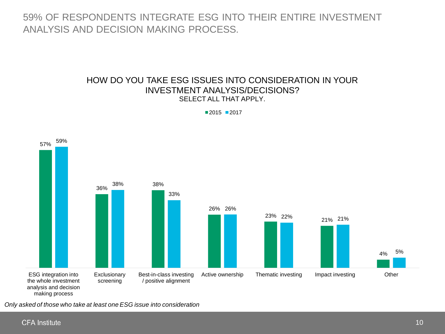59% OF RESPONDENTS INTEGRATE ESG INTO THEIR ENTIRE INVESTMENT ANALYSIS AND DECISION MAKING PROCESS.

#### HOW DO YOU TAKE ESG ISSUES INTO CONSIDERATION IN YOUR INVESTMENT ANALYSIS/DECISIONS? SELECT ALL THAT APPLY.

 $2015$  2017



*Only asked of those who take at least one ESG issue into consideration*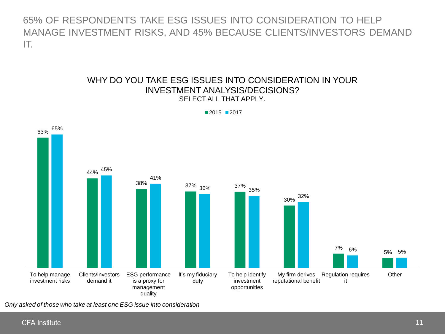65% OF RESPONDENTS TAKE ESG ISSUES INTO CONSIDERATION TO HELP MANAGE INVESTMENT RISKS, AND 45% BECAUSE CLIENTS/INVESTORS DEMAND IT.

#### WHY DO YOU TAKE ESG ISSUES INTO CONSIDERATION IN YOUR INVESTMENT ANALYSIS/DECISIONS? SELECT ALL THAT APPLY.



 $2015$  2017

*Only asked of those who take at least one ESG issue into consideration*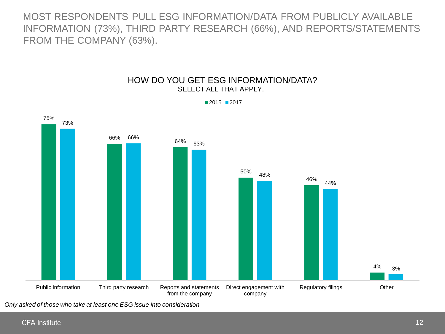MOST RESPONDENTS PULL ESG INFORMATION/DATA FROM PUBLICLY AVAILABLE INFORMATION (73%), THIRD PARTY RESEARCH (66%), AND REPORTS/STATEMENTS FROM THE COMPANY (63%).

#### HOW DO YOU GET ESG INFORMATION/DATA? SELECT ALL THAT APPLY.



■2015 ■2017

*Only asked of those who take at least one ESG issue into consideration*

75%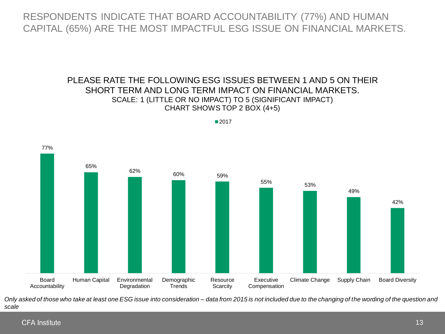RESPONDENTS INDICATE THAT BOARD ACCOUNTABILITY (77%) AND HUMAN CAPITAL (65%) ARE THE MOST IMPACTFUL ESG ISSUE ON FINANCIAL MARKETS.

#### PLEASE RATE THE FOLLOWING ESG ISSUES BETWEEN 1 AND 5 ON THEIR SHORT TERM AND LONG TERM IMPACT ON FINANCIAL MARKETS. SCALE: 1 (LITTLE OR NO IMPACT) TO 5 (SIGNIFICANT IMPACT) CHART SHOWS TOP 2 BOX (4+5)

■2017



*Only asked of those who take at least one ESG issue into consideration – data from 2015 is not included due to the changing of the wording of the question and scale*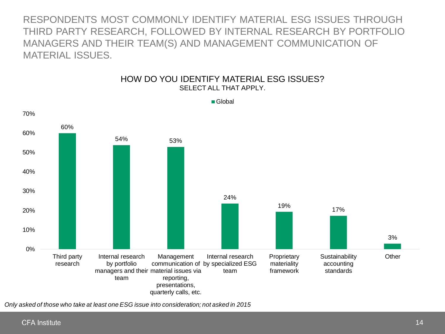RESPONDENTS MOST COMMONLY IDENTIFY MATERIAL ESG ISSUES THROUGH THIRD PARTY RESEARCH, FOLLOWED BY INTERNAL RESEARCH BY PORTFOLIO MANAGERS AND THEIR TEAM(S) AND MANAGEMENT COMMUNICATION OF MATERIAL ISSUES.



HOW DO YOU IDENTIFY MATERIAL ESG ISSUES? SELECT ALL THAT APPLY.

*Only asked of those who take at least one ESG issue into consideration; not asked in 2015*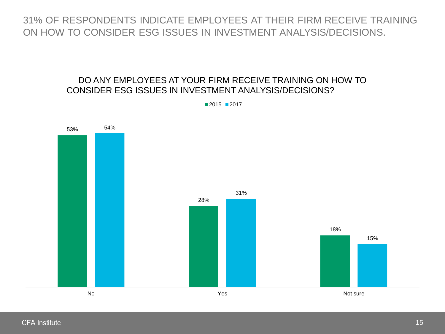31% OF RESPONDENTS INDICATE EMPLOYEES AT THEIR FIRM RECEIVE TRAINING ON HOW TO CONSIDER ESG ISSUES IN INVESTMENT ANALYSIS/DECISIONS.

### DO ANY EMPLOYEES AT YOUR FIRM RECEIVE TRAINING ON HOW TO CONSIDER ESG ISSUES IN INVESTMENT ANALYSIS/DECISIONS?



 $2015$  2017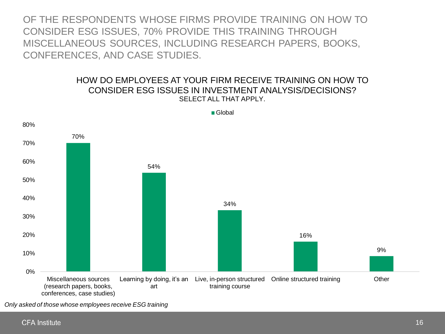OF THE RESPONDENTS WHOSE FIRMS PROVIDE TRAINING ON HOW TO CONSIDER ESG ISSUES, 70% PROVIDE THIS TRAINING THROUGH MISCELLANEOUS SOURCES, INCLUDING RESEARCH PAPERS, BOOKS, CONFERENCES, AND CASE STUDIES.

#### HOW DO EMPLOYEES AT YOUR FIRM RECEIVE TRAINING ON HOW TO CONSIDER ESG ISSUES IN INVESTMENT ANALYSIS/DECISIONS? SELECT ALL THAT APPLY.



■ Global

*Only asked of those whose employees receive ESG training*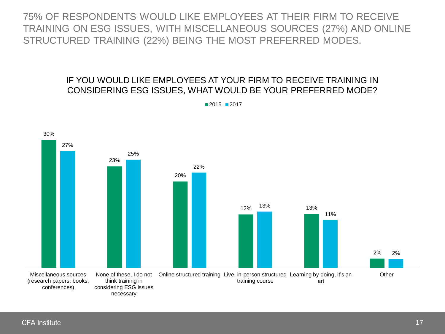75% OF RESPONDENTS WOULD LIKE EMPLOYEES AT THEIR FIRM TO RECEIVE TRAINING ON ESG ISSUES, WITH MISCELLANEOUS SOURCES (27%) AND ONLINE STRUCTURED TRAINING (22%) BEING THE MOST PREFERRED MODES.

### IF YOU WOULD LIKE EMPLOYEES AT YOUR FIRM TO RECEIVE TRAINING IN CONSIDERING ESG ISSUES, WHAT WOULD BE YOUR PREFERRED MODE?



 $2015$  2017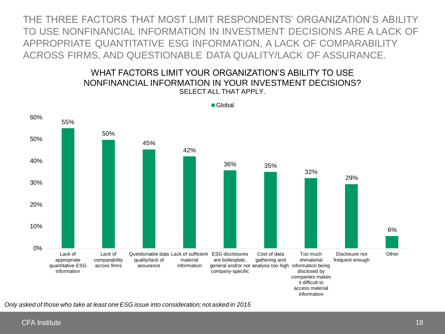THE THREE FACTORS THAT MOST LIMIT RESPONDENTS' ORGANIZATION'S ABILITY TO USE NONFINANCIAL INFORMATION IN INVESTMENT DECISIONS ARE A LACK OF APPROPRIATE QUANTITATIVE ESG INFORMATION, A LACK OF COMPARABILITY ACROSS FIRMS, AND QUESTIONABLE DATA QUALITY/LACK OF ASSURANCE.

#### WHAT FACTORS I IMIT YOUR ORGANIZATION'S ABILITY TO USE NONFINANCIAL INFORMATION IN YOUR INVESTMENT DECISIONS? SELECT ALL THAT APPLY.



■ Global

*Only asked of those who take at least one ESG issue into consideration; not asked in 2015*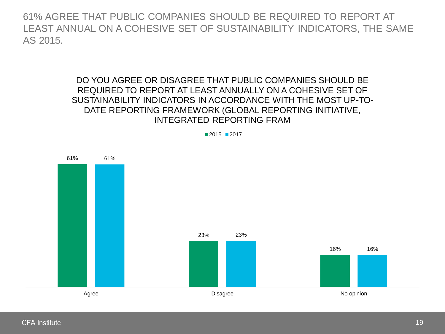61% AGREE THAT PUBLIC COMPANIES SHOULD BE REQUIRED TO REPORT AT LEAST ANNUAL ON A COHESIVE SET OF SUSTAINABILITY INDICATORS, THE SAME AS 2015.

#### DO YOU AGREE OR DISAGREE THAT PUBLIC COMPANIES SHOULD BE REQUIRED TO REPORT AT LEAST ANNUALLY ON A COHESIVE SET OF SUSTAINABILITY INDICATORS IN ACCORDANCE WITH THE MOST UP-TO-DATE REPORTING FRAMEWORK (GLOBAL REPORTING INITIATIVE, INTEGRATED REPORTING FRAM



■2015 ■2017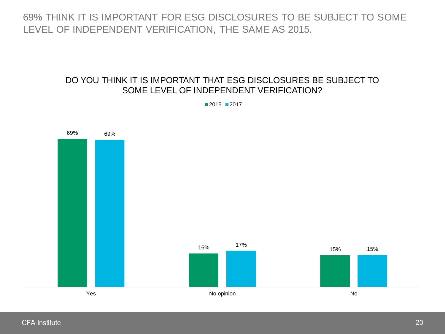69% THINK IT IS IMPORTANT FOR ESG DISCLOSURES TO BE SUBJECT TO SOME LEVEL OF INDEPENDENT VERIFICATION, THE SAME AS 2015.

### DO YOU THINK IT IS IMPORTANT THAT ESG DISCLOSURES BE SUBJECT TO SOME LEVEL OF INDEPENDENT VERIFICATION?

■2015 ■2017

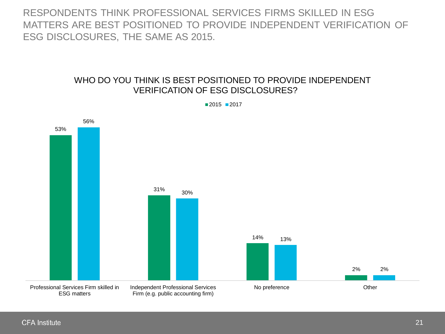RESPONDENTS THINK PROFESSIONAL SERVICES FIRMS SKILLED IN ESG MATTERS ARE BEST POSITIONED TO PROVIDE INDEPENDENT VERIFICATION OF ESG DISCLOSURES, THE SAME AS 2015.

#### WHO DO YOU THINK IS BEST POSITIONED TO PROVIDE INDEPENDENT VERIFICATION OF ESG DISCLOSURES?



 $2015$  2017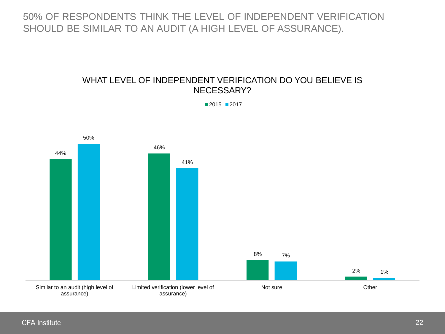## 50% OF RESPONDENTS THINK THE LEVEL OF INDEPENDENT VERIFICATION SHOULD BE SIMILAR TO AN AUDIT (A HIGH LEVEL OF ASSURANCE).

#### WHAT LEVEL OF INDEPENDENT VERIFICATION DO YOU BELIEVE IS NECESSARY?



■2015 ■2017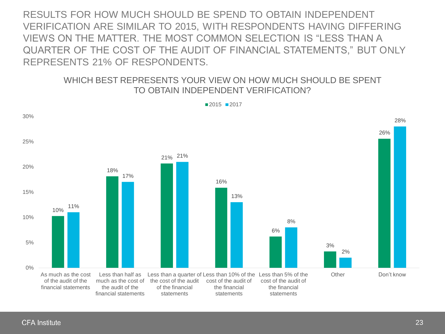RESULTS FOR HOW MUCH SHOULD BE SPEND TO OBTAIN INDEPENDENT VERIFICATION ARE SIMILAR TO 2015, WITH RESPONDENTS HAVING DIFFERING VIEWS ON THE MATTER THE MOST COMMON SELECTION IS "I ESS THAN A QUARTER OF THE COST OF THE AUDIT OF FINANCIAL STATEMENTS," BUT ONLY REPRESENTS 21% OF RESPONDENTS.

#### WHICH BEST REPRESENTS YOUR VIEW ON HOW MUCH SHOULD BE SPENT TO OBTAIN INDEPENDENT VERIFICATION?



 $2015$  2017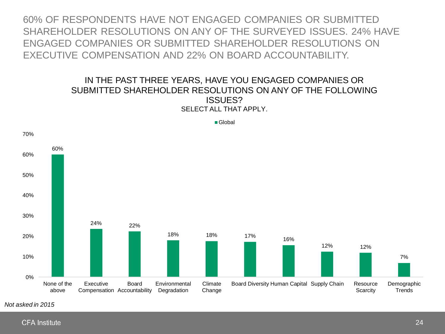60% OF RESPONDENTS HAVE NOT ENGAGED COMPANIES OR SUBMITTED SHAREHOLDER RESOLUTIONS ON ANY OF THE SURVEYED ISSUES. 24% HAVE ENGAGED COMPANIES OR SUBMITTED SHAREHOLDER RESOLUTIONS ON EXECUTIVE COMPENSATION AND 22% ON BOARD ACCOUNTABILITY.

#### IN THE PAST THREE YEARS, HAVE YOU ENGAGED COMPANIES OR SUBMITTED SHAREHOLDER RESOLUTIONS ON ANY OF THE FOLLOWING ISSUES? SELECT ALL THAT APPLY.



*Not asked in 2015*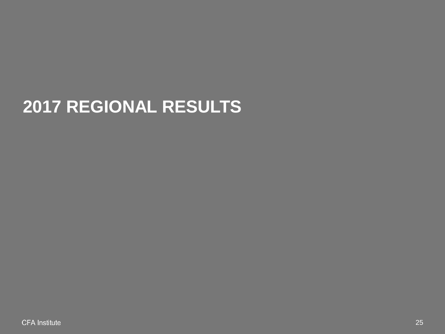# **2017 REGIONAL RESULTS**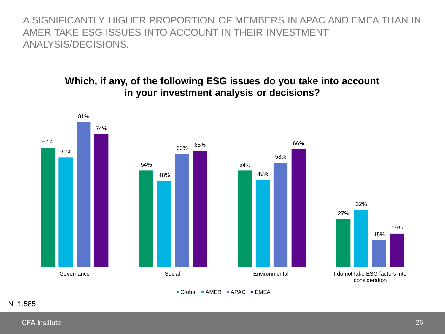A SIGNIFICANTLY HIGHER PROPORTION OF MEMBERS IN APAC AND EMEA THAN IN AMER TAKE ESG ISSUES INTO ACCOUNT IN THEIR INVESTMENT ANALYSIS/DECISIONS.

## **Which, if any, of the following ESG issues do you take into account in your investment analysis or decisions?**

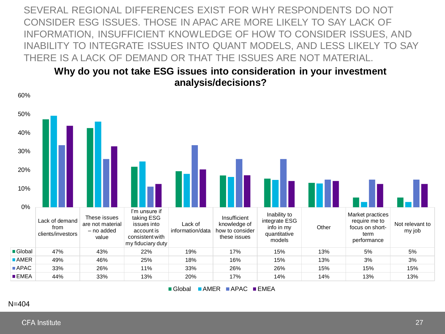SEVERAL REGIONAL DIFFERENCES EXIST FOR WHY RESPONDENTS DO NOT CONSIDER ESG ISSUES. THOSE IN APAC ARE MORE LIKELY TO SAY LACK OF INFORMATION, INSUFFICIENT KNOWLEDGE OF HOW TO CONSIDER ISSUES, AND INABILITY TO INTEGRATE ISSUES INTO QUANT MODELS, AND LESS LIKELY TO SAY THERE IS A LACK OF DEMAND OR THAT THE ISSUES ARE NOT MATERIAL.

### **Why do you not take ESG issues into consideration in your investment analysis/decisions?**



 $\blacksquare$  Global  $\blacksquare$  AMER  $\blacksquare$  APAC  $\blacksquare$  EMEA

#### N=404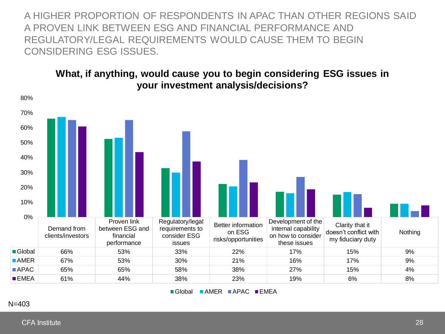A HIGHER PROPORTION OF RESPONDENTS IN APAC THAN OTHER REGIONS SAID A PROVEN LINK BETWEEN ESG AND FINANCIAL PERFORMANCE AND REGULATORY/LEGAL REQUIREMENTS WOULD CAUSE THEM TO BEGIN CONSIDERING ESG ISSUES.

## **What, if anything, would cause you to begin considering ESG issues in your investment analysis/decisions?**



Global AMER APAC EMEA

N=403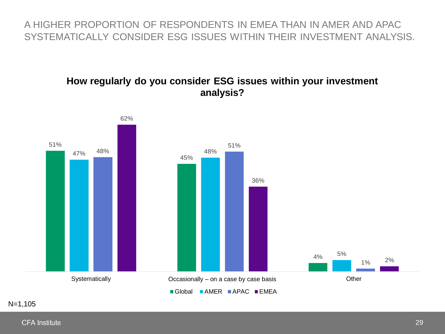## A HIGHER PROPORTION OF RESPONDENTS IN EMEA THAN IN AMER AND APAC SYSTEMATICALLY CONSIDER ESG ISSUES WITHIN THEIR INVESTMENT ANALYSIS.

## **How regularly do you consider ESG issues within your investment analysis?**

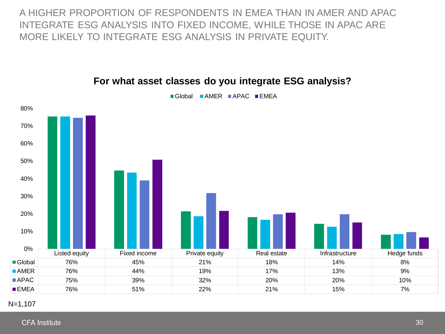A HIGHER PROPORTION OF RESPONDENTS IN EMEA THAN IN AMER AND APAC INTEGRATE ESG ANALYSIS INTO FIXED INCOME, WHILE THOSE IN APAC ARE MORE LIKELY TO INTEGRATE ESG ANALYSIS IN PRIVATE EQUITY.



#### **For what asset classes do you integrate ESG analysis?**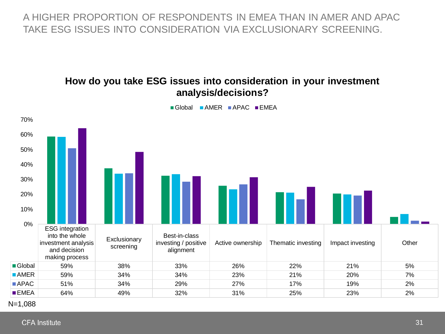A HIGHER PROPORTION OF RESPONDENTS IN EMEA THAN IN AMER AND APAC TAKE ESG ISSUES INTO CONSIDERATION VIA EXCLUSIONARY SCREENING.

#### **How do you take ESG issues into consideration in your investment analysis/decisions?**  $\blacksquare$  Global  $\blacksquare$  AMER  $\blacksquare$  APAC  $\blacksquare$  EMEA 70% 60% 50% 40% 30% 11 M M M 20% 10% 0% ESG integration into the whole Best-in-class **Exclusionary** investment analysis investing / positive Active ownership Thematic investing Impact investing Impact investing screening and decision alignment making process Global 59% 38% 33% 26% 22% 21% 5% AMER 59% 34% 34% 23% 21% 20% 7% APAC 51% 34% 29% 27% 17% 19% 2% EMEA 64% 49% 32% 31% 25% 23% 2%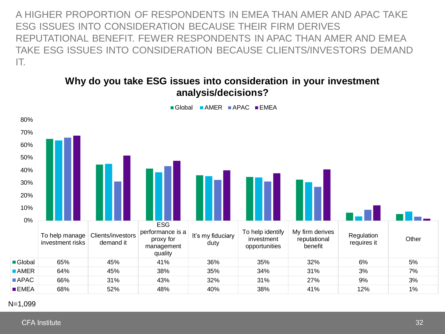A HIGHER PROPORTION OF RESPONDENTS IN EMEA THAN AMER AND APAC TAKE ESG ISSUES INTO CONSIDERATION BECAUSE THEIR FIRM DERIVES REPUTATIONAL BENEFIT. FEWER RESPONDENTS IN APAC THAN AMER AND EMEA TAKE ESG ISSUES INTO CONSIDERATION BECAUSE CLIENTS/INVESTORS DEMAND IT.

## **Why do you take ESG issues into consideration in your investment analysis/decisions?**



Global AMER APAC EMEA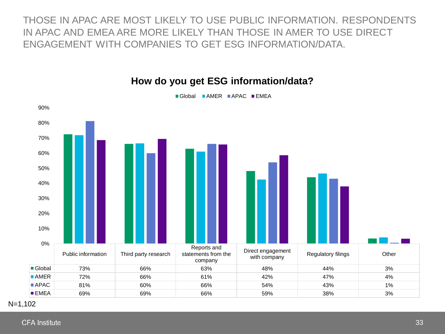THOSE IN APAC ARE MOST LIKELY TO USE PUBLIC INFORMATION. RESPONDENTS IN APAC AND EMEA ARE MORE LIKELY THAN THOSE IN AMER TO USE DIRECT ENGAGEMENT WITH COMPANIES TO GET ESG INFORMATION/DATA.



**How do you get ESG information/data?**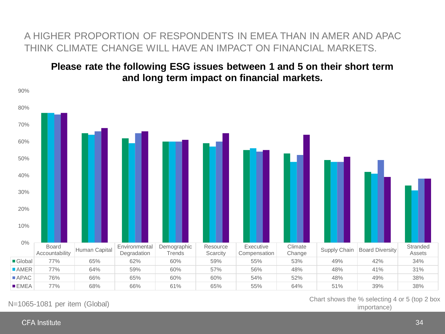## A HIGHER PROPORTION OF RESPONDENTS IN EMEA THAN IN AMER AND APAC THINK CLIMATE CHANGE WILL HAVE AN IMPACT ON FINANCIAL MARKETS.

## **Please rate the following ESG issues between 1 and 5 on their short term and long term impact on financial markets.**



N=1065-1081 per item (Global)<br>
importance

Chart shows the % selecting 4 or 5 (top 2 box

**CFA Institute**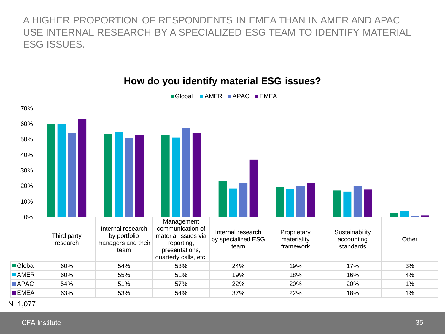A HIGHER PROPORTION OF RESPONDENTS IN EMEA THAN IN AMER AND APAC USE INTERNAL RESEARCH BY A SPECIALIZED ESG TEAM TO IDENTIFY MATERIAL ESG ISSUES.



### **How do you identify material ESG issues?**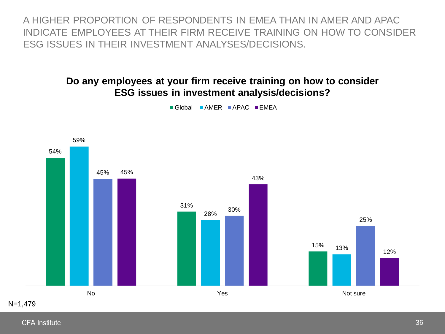A HIGHER PROPORTION OF RESPONDENTS IN EMEA THAN IN AMER AND APAC INDICATE EMPLOYEES AT THEIR FIRM RECEIVE TRAINING ON HOW TO CONSIDER ESG ISSUES IN THEIR INVESTMENT ANALYSES/DECISIONS.

## **Do any employees at your firm receive training on how to consider ESG issues in investment analysis/decisions?**



Global AMER APAC EMEA

**CFA Institute**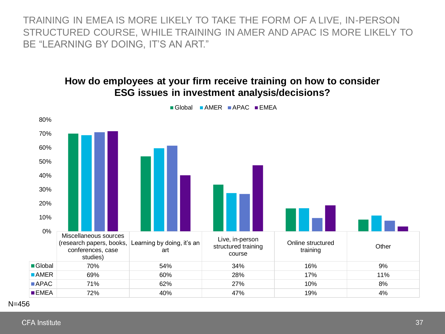TRAINING IN EMEA IS MORE LIKELY TO TAKE THE FORM OF A LIVE, IN-PERSON STRUCTURED COURSE, WHILE TRAINING IN AMER AND APAC IS MORE LIKELY TO BE "LEARNING BY DOING, IT'S AN ART."

#### **How do employees at your firm receive training on how to consider ESG issues in investment analysis/decisions?**



**CFA Institute**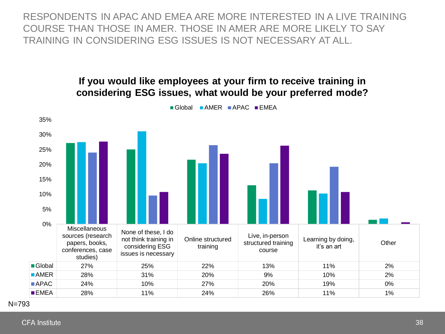RESPONDENTS IN APAC AND EMEA ARE MORE INTERESTED IN A LIVE TRAINING COURSE THAN THOSE IN AMER. THOSE IN AMER ARE MORE LIKELY TO SAY TRAINING IN CONSIDERING ESG ISSUES IS NOT NECESSARY AT ALL.

#### **If you would like employees at your firm to receive training in considering ESG issues, what would be your preferred mode?**



Global **AMER** APAC **EMEA** 

N=793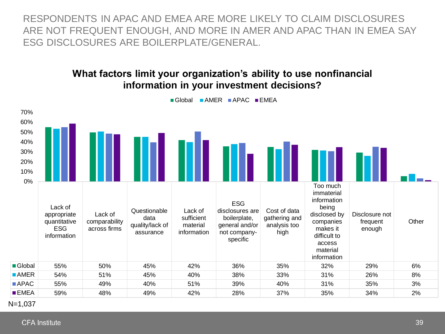RESPONDENTS IN APAC AND EMEA ARE MORE LIKELY TO CLAIM DISCLOSURES ARE NOT FREQUENT ENOUGH, AND MORE IN AMER AND APAC THAN IN EMEA SAY ESG DISCLOSURES ARE BOILERPLATE/GENERAL.

#### **What factors limit your organization's ability to use nonfinancial information in your investment decisions?**

Global AMER APAC FMEA

| 70%<br>60%<br>50%<br>40%<br>30%<br>20%<br>10%<br>$0\%$ |                                                                     |                                          |                                                      |                                                  |                                                                                             |                                                       |                                                                                                                                              |                                      |       |
|--------------------------------------------------------|---------------------------------------------------------------------|------------------------------------------|------------------------------------------------------|--------------------------------------------------|---------------------------------------------------------------------------------------------|-------------------------------------------------------|----------------------------------------------------------------------------------------------------------------------------------------------|--------------------------------------|-------|
|                                                        | Lack of<br>appropriate<br>quantitative<br><b>ESG</b><br>information | Lack of<br>comparability<br>across firms | Questionable<br>data<br>quality/lack of<br>assurance | Lack of<br>sufficient<br>material<br>information | <b>ESG</b><br>disclosures are<br>boilerplate,<br>general and/or<br>not company-<br>specific | Cost of data<br>gathering and<br>analysis too<br>high | Too much<br>immaterial<br>information<br>being<br>disclosed by<br>companies<br>makes it<br>difficult to<br>access<br>material<br>information | Disclosure not<br>frequent<br>enough | Other |
| Global                                                 | 55%                                                                 | 50%                                      | 45%                                                  | 42%                                              | 36%                                                                                         | 35%                                                   | 32%                                                                                                                                          | 29%                                  | 6%    |
| $\blacksquare$ AMER                                    | 54%                                                                 | 51%                                      | 45%                                                  | 40%                                              | 38%                                                                                         | 33%                                                   | 31%                                                                                                                                          | 26%                                  | 8%    |
| ■ APAC                                                 | 55%                                                                 | 49%                                      | 40%                                                  | 51%                                              | 39%                                                                                         | 40%                                                   | 31%                                                                                                                                          | 35%                                  | 3%    |
| $\blacksquare$ EMEA                                    | 59%                                                                 | 48%                                      | 49%                                                  | 42%                                              | 28%                                                                                         | 37%                                                   | 35%                                                                                                                                          | 34%                                  | 2%    |

N=1,037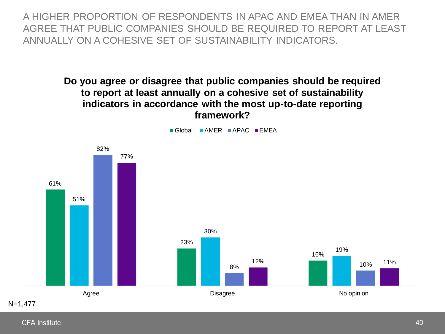A HIGHER PROPORTION OF RESPONDENTS IN APAC AND EMEA THAN IN AMER AGREE THAT PUBLIC COMPANIES SHOULD BE REQUIRED TO REPORT AT LEAST ANNUALLY ON A COHESIVE SET OF SUSTAINABILITY INDICATORS.

> **Do you agree or disagree that public companies should be required to report at least annually on a cohesive set of sustainability indicators in accordance with the most up-to-date reporting framework?**



**CFA Institute**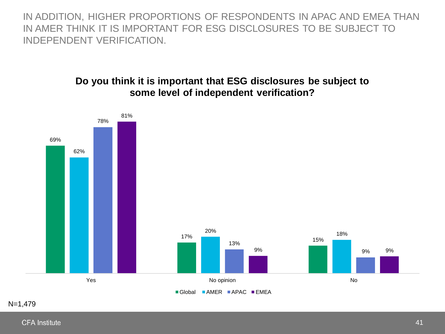IN ADDITION, HIGHER PROPORTIONS OF RESPONDENTS IN APAC AND EMEA THAN IN AMER THINK IT IS IMPORTANT FOR ESG DISCLOSURES TO BE SUBJECT TO INDEPENDENT VERIFICATION.

#### **Do you think it is important that ESG disclosures be subject to some level of independent verification?**



N=1,479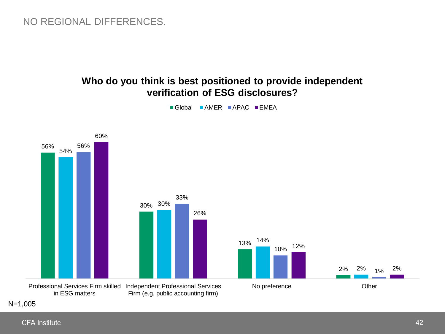## NO REGIONAL DIFFERENCES.

#### **Who do you think is best positioned to provide independent verification of ESG disclosures?**



 $\blacksquare$  Global  $\blacksquare$  AMER  $\blacksquare$  APAC  $\blacksquare$  EMEA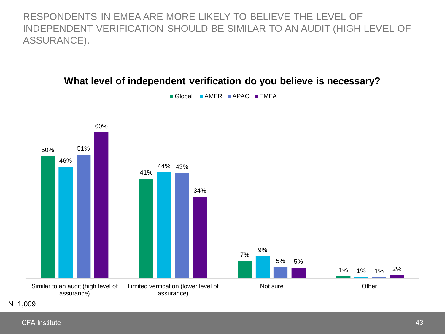RESPONDENTS IN EMEA ARE MORE LIKELY TO BELIEVE THE LEVEL OF INDEPENDENT VERIFICATION SHOULD BE SIMILAR TO AN AUDIT (HIGH LEVEL OF ASSURANCE).



#### **What level of independent verification do you believe is necessary?**

 $\blacksquare$  Global  $\blacksquare$  AMER  $\blacksquare$  APAC  $\blacksquare$  EMEA

N=1,009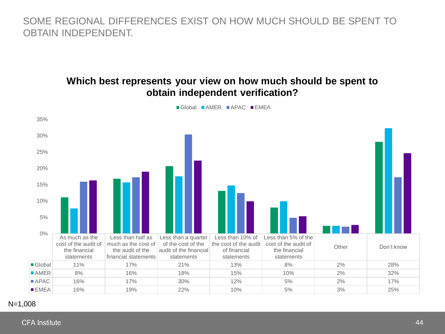SOME REGIONAL DIFFERENCES EXIST ON HOW MUCH SHOULD BE SPENT TO OBTAIN INDEPENDENT.

#### **Which best represents your view on how much should be spent to obtain independent verification?**



Global AMER APAC FEMEA

#### N=1,008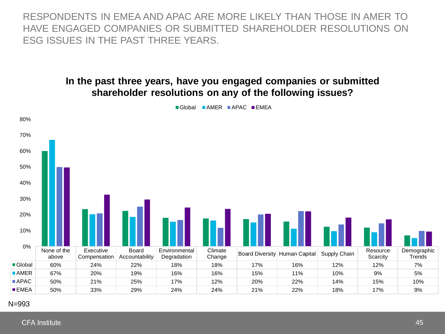RESPONDENTS IN EMEA AND APAC ARE MORE LIKELY THAN THOSE IN AMER TO HAVE ENGAGED COMPANIES OR SUBMITTED SHAREHOLDER RESOLUTIONS ON ESG ISSUES IN THE PAST THREE YEARS.

#### **In the past three years, have you engaged companies or submitted shareholder resolutions on any of the following issues?**



Global **AMER** APAC **EMEA** 

#### N=993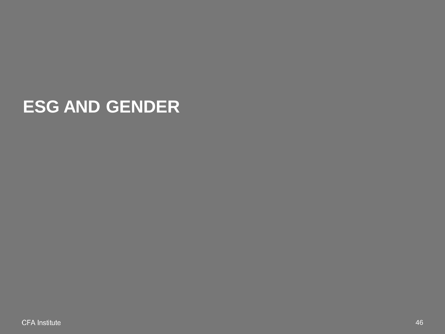# **ESG AND GENDER**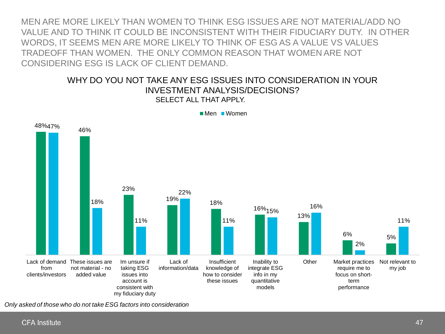MEN ARE MORE LIKELY THAN WOMEN TO THINK ESG ISSUES ARE NOT MATERIAL/ADD NO VALUE AND TO THINK IT COULD BE INCONSISTENT WITH THEIR FIDUCIARY DUTY. IN OTHER WORDS, IT SEEMS MEN ARE MORE LIKELY TO THINK OF ESG AS A VALUE VS VALUES TRADEOFF THAN WOMEN. THE ONLY COMMON REASON THAT WOMEN ARE NOT CONSIDERING ESG IS LACK OF CLIENT DEMAND.

#### WHY DO YOU NOT TAKE ANY ESG ISSUES INTO CONSIDERATION IN YOUR INVESTMENT ANALYSIS/DECISIONS? SELECT ALL THAT APPI Y.



Men Women

*Only asked of those who do not take ESG factors into consideration*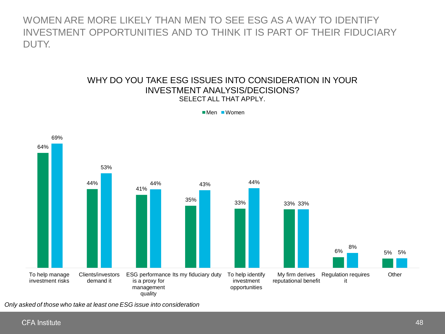WOMEN ARE MORE LIKELY THAN MEN TO SEE ESG AS A WAY TO IDENTIFY INVESTMENT OPPORTUNITIES AND TO THINK IT IS PART OF THEIR FIDUCIARY DUTY.

#### WHY DO YOU TAKE ESG ISSUES INTO CONSIDERATION IN YOUR INVESTMENT ANALYSIS/DECISIONS? SELECT ALL THAT APPLY.



■Men ■Women

*Only asked of those who take at least one ESG issue into consideration*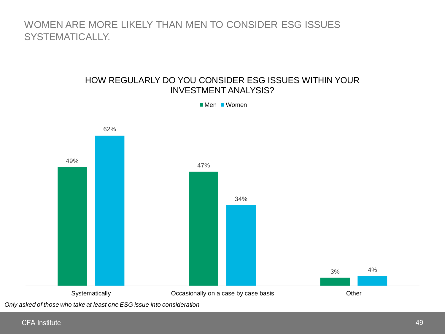## WOMEN ARE MORE LIKELY THAN MEN TO CONSIDER ESG ISSUES SYSTEMATICALLY.

#### HOW REGULARLY DO YOU CONSIDER ESG ISSUES WITHIN YOUR INVESTMENT ANALYSIS?



■Men ■Women

*Only asked of those who take at least one ESG issue into consideration*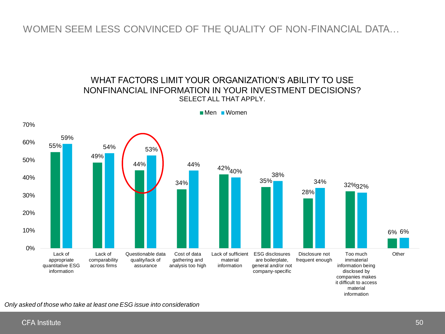#### WOMEN SEEM LESS CONVINCED OF THE QUALITY OF NON-FINANCIAL DATA…

#### WHAT FACTORS LIMIT YOUR ORGANIZATION'S ABILITY TO USE NONFINANCIAL INFORMATION IN YOUR INVESTMENT DECISIONS? SELECT ALL THAT APPLY.



**Men** Women

*Only asked of those who take at least one ESG issue into consideration*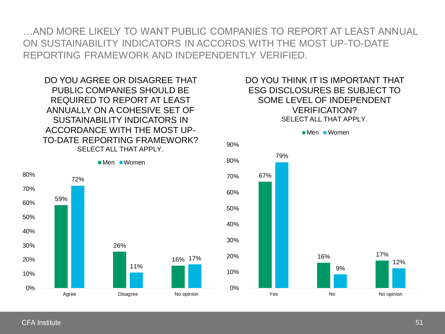…AND MORE LIKELY TO WANT PUBLIC COMPANIES TO REPORT AT LEAST ANNUAL ON SUSTAINABILITY INDICATORS IN ACCORDS WITH THE MOST UP-TO-DATE REPORTING FRAMEWORK AND INDEPENDENTLY VERIFIED.

DO YOU AGREE OR DISAGREE THAT PUBLIC COMPANIES SHOULD BE REQUIRED TO REPORT AT LEAST ANNUALLY ON A COHESIVE SET OF SUSTAINABILITY INDICATORS IN ACCORDANCE WITH THE MOST UP-TO-DATE REPORTING FRAMEWORK? SELECT ALL THAT APPLY.

DO YOU THINK IT IS IMPORTANT THAT ESG DISCLOSURES BE SUBJECT TO SOME LEVEL OF INDEPENDENT VERIFICATION? SELECT ALL THAT APPLY.





**CFA** Institute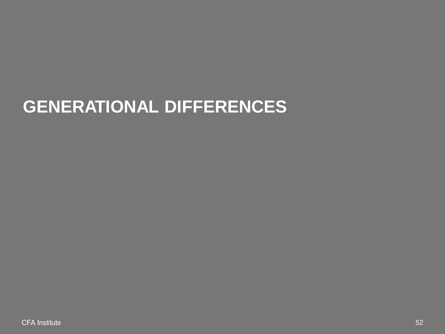# **GENERATIONAL DIFFERENCES**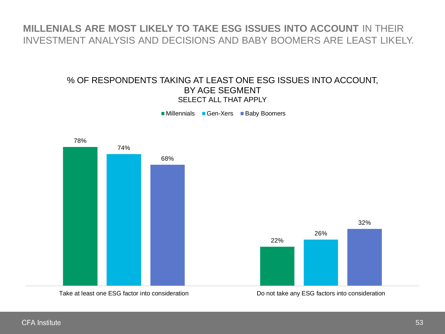## **MILLENIALS ARE MOST LIKELY TO TAKE ESG ISSUES INTO ACCOUNT** IN THEIR INVESTMENT ANALYSIS AND DECISIONS AND BABY BOOMERS ARE LEAST LIKELY.

#### % OF RESPONDENTS TAKING AT LEAST ONE ESG ISSUES INTO ACCOUNT, BY AGE SEGMENT SELECT ALL THAT APPLY

■ Millennials ■ Gen-Xers ■ Baby Boomers

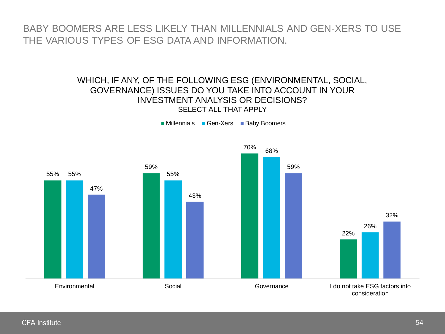BABY BOOMERS ARE LESS LIKELY THAN MILLENNIALS AND GEN-XERS TO USE THE VARIOUS TYPES OF ESG DATA AND INFORMATION.

#### WHICH, IF ANY, OF THE FOLLOWING ESG (ENVIRONMENTAL, SOCIAL, GOVERNANCE) ISSUES DO YOU TAKE INTO ACCOUNT IN YOUR INVESTMENT ANALYSIS OR DECISIONS? SELECT ALL THAT APPLY

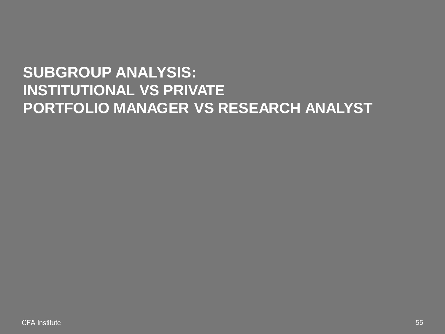# **SUBGROUP ANALYSIS: INSTITUTIONAL VS PRIVATE PORTFOLIO MANAGER VS RESEARCH ANALYST**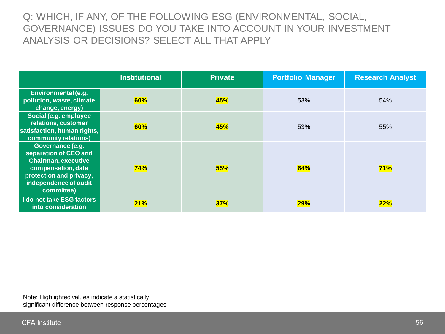Q: WHICH, IF ANY, OF THE FOLLOWING ESG (ENVIRONMENTAL, SOCIAL, GOVERNANCE) ISSUES DO YOU TAKE INTO ACCOUNT IN YOUR INVESTMENT ANALYSIS OR DECISIONS? SELECT ALL THAT APPLY

|                                                                                                                                                                 | <b>Institutional</b> | <b>Private</b> | <b>Portfolio Manager</b> | <b>Research Analyst</b> |
|-----------------------------------------------------------------------------------------------------------------------------------------------------------------|----------------------|----------------|--------------------------|-------------------------|
| Environmental (e.g.<br>pollution, waste, climate<br>change, energy)                                                                                             | 60%                  | 45%            | 53%                      | 54%                     |
| Social (e.g. employee<br>relations, customer<br>satisfaction, human rights,<br>community relations)                                                             | 60%                  | 45%            | 53%                      | 55%                     |
| Governance (e.g.<br>separation of CEO and<br><b>Chairman, executive</b><br>compensation, data<br>protection and privacy,<br>independence of audit<br>committee) | 74%                  | 55%            | 64%                      | 71%                     |
| I do not take ESG factors<br>into consideration                                                                                                                 | <b>21%</b>           | 37%            | 29%                      | 22%                     |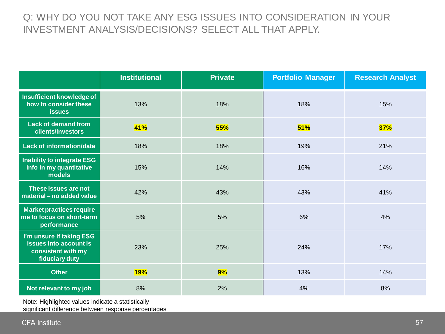# Q: WHY DO YOU NOT TAKE ANY ESG ISSUES INTO CONSIDERATION IN YOUR INVESTMENT ANALYSIS/DECISIONS? SELECT ALL THAT APPLY.

|                                                                                            | <b>Institutional</b> | <b>Private</b> | <b>Portfolio Manager</b> | <b>Research Analyst</b> |
|--------------------------------------------------------------------------------------------|----------------------|----------------|--------------------------|-------------------------|
| Insufficient knowledge of<br>how to consider these<br><b>issues</b>                        | 13%                  | 18%            | 18%                      | 15%                     |
| <b>Lack of demand from</b><br>clients/investors                                            | 41%                  | 55%            | 51%                      | <b>37%</b>              |
| Lack of information/data                                                                   | 18%                  | 18%            | 19%                      | 21%                     |
| Inability to integrate ESG<br>info in my quantitative<br>models                            | 15%                  | 14%            | 16%                      | 14%                     |
| These issues are not<br>material - no added value                                          | 42%                  | 43%            | 43%                      | 41%                     |
| <b>Market practices require</b><br>me to focus on short-term<br>performance                | 5%                   | 5%             | 6%                       | 4%                      |
| I'm unsure if taking ESG<br>issues into account is<br>consistent with my<br>fiduciary duty | 23%                  | 25%            | 24%                      | 17%                     |
| <b>Other</b>                                                                               | <b>19%</b>           | 9%             | 13%                      | 14%                     |
| Not relevant to my job                                                                     | 8%                   | 2%             | 4%                       | 8%                      |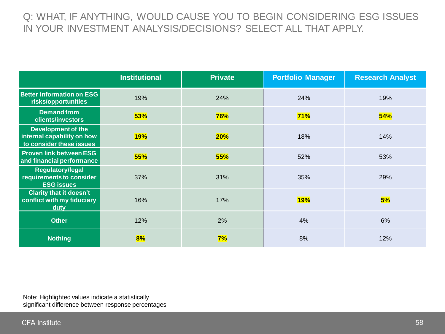## Q: WHAT, IF ANYTHING, WOULD CAUSE YOU TO BEGIN CONSIDERING ESG ISSUES IN YOUR INVESTMENT ANALYSIS/DECISIONS? SELECT ALL THAT APPLY.

|                                                                                     | <b>Institutional</b> | <b>Private</b> | <b>Portfolio Manager</b> | <b>Research Analyst</b> |
|-------------------------------------------------------------------------------------|----------------------|----------------|--------------------------|-------------------------|
| Better information on ESG<br>risks/opportunities                                    | 19%                  | 24%            | 24%                      | 19%                     |
| <b>Demand from</b><br>clients/investors                                             | 53%                  | <b>76%</b>     | 71%                      | 54%                     |
| <b>Development of the</b><br>internal capability on how<br>to consider these issues | <b>19%</b>           | <b>20%</b>     | 18%                      | 14%                     |
| <b>Proven link between ESG</b><br>and financial performance                         | 55%                  | 55%            | 52%                      | 53%                     |
| <b>Regulatory/legal</b><br>requirements to consider<br><b>ESG issues</b>            | 37%                  | 31%            | 35%                      | 29%                     |
| <b>Clarity that it doesn't</b><br>conflict with my fiduciary<br>duty                | 16%                  | 17%            | <b>19%</b>               | 5%                      |
| <b>Other</b>                                                                        | 12%                  | 2%             | 4%                       | 6%                      |
| <b>Nothing</b>                                                                      | 8%                   | 7%             | 8%                       | 12%                     |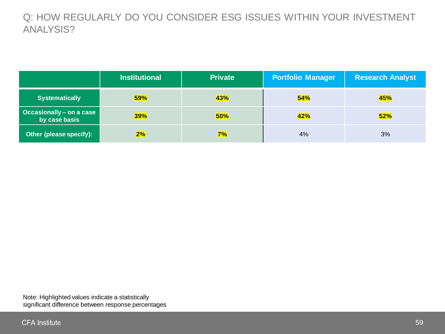Q: HOW REGULARLY DO YOU CONSIDER ESG ISSUES WITHIN YOUR INVESTMENT ANALYSIS?

|                                           | <b>Institutional</b> | <b>Private</b> | <b>Portfolio Manager</b> | <b>Research Analyst</b> |
|-------------------------------------------|----------------------|----------------|--------------------------|-------------------------|
| <b>Systematically</b>                     | <b>59%</b>           | 43%            | 54%                      | 45%                     |
| Occasionally - on a case<br>by case basis | <b>39%</b>           | 50%            | 42%                      | 52%                     |
| Other (please specify):                   | 2%                   | 7%             | 4%                       | 3%                      |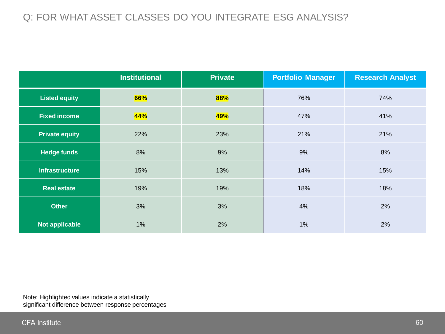## Q: FOR WHAT ASSET CLASSES DO YOU INTEGRATE ESG ANALYSIS?

|                       | <b>Institutional</b> | <b>Private</b> | <b>Portfolio Manager</b> | <b>Research Analyst</b> |
|-----------------------|----------------------|----------------|--------------------------|-------------------------|
| <b>Listed equity</b>  | 66%                  | 88%            | 76%                      | 74%                     |
| <b>Fixed income</b>   | 44%                  | 49%            | 47%                      | 41%                     |
| <b>Private equity</b> | 22%                  | 23%            | 21%                      | 21%                     |
| <b>Hedge funds</b>    | 8%                   | 9%             | 9%                       | 8%                      |
| <b>Infrastructure</b> | 15%                  | 13%            | 14%                      | 15%                     |
| <b>Real estate</b>    | 19%                  | 19%            | 18%                      | 18%                     |
| <b>Other</b>          | 3%                   | 3%             | 4%                       | 2%                      |
| <b>Not applicable</b> | $1\%$                | 2%             | 1%                       | 2%                      |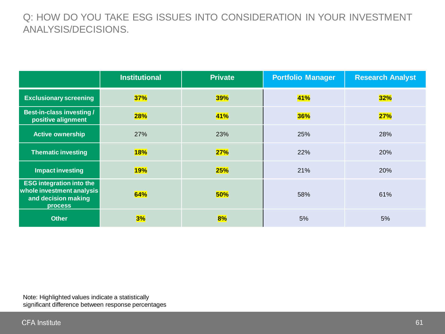## Q: HOW DO YOU TAKE ESG ISSUES INTO CONSIDERATION IN YOUR INVESTMENT ANALYSIS/DECISIONS.

|                                                                                                       | <b>Institutional</b> | <b>Private</b> | <b>Portfolio Manager</b> | <b>Research Analyst</b> |
|-------------------------------------------------------------------------------------------------------|----------------------|----------------|--------------------------|-------------------------|
| <b>Exclusionary screening</b>                                                                         | 37%                  | <b>39%</b>     | 41%                      | 32%                     |
| Best-in-class investing /<br>positive alignment                                                       | <b>28%</b>           | <b>41%</b>     | 36%                      | 27%                     |
| <b>Active ownership</b>                                                                               | 27%                  | 23%            | 25%                      | 28%                     |
| <b>Thematic investing</b>                                                                             | <b>18%</b>           | 27%            | 22%                      | 20%                     |
| <b>Impact investing</b>                                                                               | <b>19%</b>           | <b>25%</b>     | 21%                      | 20%                     |
| <b>ESG integration into the</b><br>whole investment analysis<br>and decision making<br><b>process</b> | 64%                  | 50%            | 58%                      | 61%                     |
| <b>Other</b>                                                                                          | 3%                   | 8%             | 5%                       | 5%                      |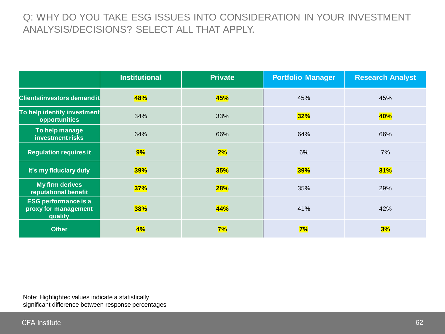## Q: WHY DO YOU TAKE ESG ISSUES INTO CONSIDERATION IN YOUR INVESTMENT ANALYSIS/DECISIONS? SELECT ALL THAT APPLY.

|                                                                | <b>Institutional</b> | <b>Private</b> | <b>Portfolio Manager</b> | <b>Research Analyst</b> |
|----------------------------------------------------------------|----------------------|----------------|--------------------------|-------------------------|
| <b>Clients/investors demand it</b>                             | <b>48%</b>           | 45%            | 45%                      | 45%                     |
| To help identify investment<br>opportunities                   | 34%                  | 33%            | 32%                      | 40%                     |
| To help manage<br>investment risks                             | 64%                  | 66%            | 64%                      | 66%                     |
| <b>Regulation requires it</b>                                  | 9%                   | 2%             | 6%                       | 7%                      |
| It's my fiduciary duty                                         | 39%                  | 35%            | <b>39%</b>               | 31%                     |
| <b>My firm derives</b><br>reputational benefit                 | 37%                  | 28%            | 35%                      | 29%                     |
| <b>ESG performance is a</b><br>proxy for management<br>quality | 38%                  | 44%            | 41%                      | 42%                     |
| <b>Other</b>                                                   | 4%                   | 7%             | 7%                       | 3%                      |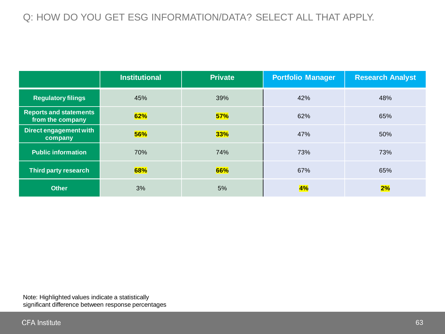# Q: HOW DO YOU GET ESG INFORMATION/DATA? SELECT ALL THAT APPLY.

|                                                   | <b>Institutional</b> | <b>Private</b> | <b>Portfolio Manager</b> | <b>Research Analyst</b> |
|---------------------------------------------------|----------------------|----------------|--------------------------|-------------------------|
| <b>Regulatory filings</b>                         | 45%                  | 39%            | 42%                      | 48%                     |
| <b>Reports and statements</b><br>from the company | 62%                  | 57%            | 62%                      | 65%                     |
| Direct engagement with<br>company                 | 56%                  | 33%            | 47%                      | 50%                     |
| <b>Public information</b>                         | 70%                  | 74%            | 73%                      | 73%                     |
| <b>Third party research</b>                       | 68%                  | 66%            | 67%                      | 65%                     |
| <b>Other</b>                                      | 3%                   | 5%             | 4%                       | 2%                      |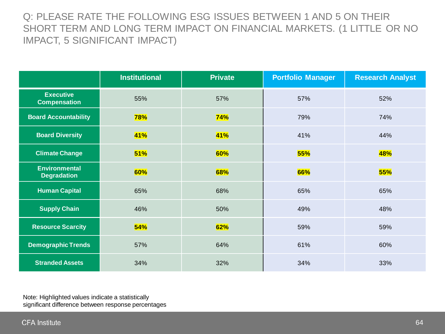Q: PLEASE RATE THE FOLLOWING ESG ISSUES BETWEEN 1 AND 5 ON THEIR SHORT TERM AND LONG TERM IMPACT ON FINANCIAL MARKETS. (1 LITTLE OR NO IMPACT, 5 SIGNIFICANT IMPACT)

|                                            | <b>Institutional</b> | <b>Private</b> | <b>Portfolio Manager</b> | <b>Research Analyst</b> |
|--------------------------------------------|----------------------|----------------|--------------------------|-------------------------|
| <b>Executive</b><br><b>Compensation</b>    | 55%                  | 57%            | 57%                      | 52%                     |
| <b>Board Accountability</b>                | <b>78%</b>           | 74%            | 79%                      | 74%                     |
| <b>Board Diversity</b>                     | <b>41%</b>           | <b>41%</b>     | 41%                      | 44%                     |
| <b>Climate Change</b>                      | 51%                  | 60%            | 55%                      | 48%                     |
| <b>Environmental</b><br><b>Degradation</b> | 60%                  | 68%            | 66%                      | 55%                     |
| <b>Human Capital</b>                       | 65%                  | 68%            | 65%                      | 65%                     |
| <b>Supply Chain</b>                        | 46%                  | 50%            | 49%                      | 48%                     |
| <b>Resource Scarcity</b>                   | 54%                  | 62%            | 59%                      | 59%                     |
| <b>Demographic Trends</b>                  | 57%                  | 64%            | 61%                      | 60%                     |
| <b>Stranded Assets</b>                     | 34%                  | 32%            | 34%                      | 33%                     |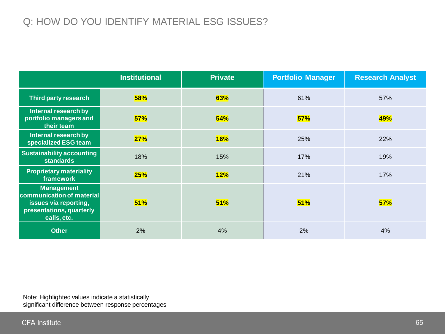# Q: HOW DO YOU IDENTIFY MATERIAL ESG ISSUES?

|                                                                                                                    | <b>Institutional</b> | <b>Private</b> | <b>Portfolio Manager</b> | <b>Research Analyst</b> |
|--------------------------------------------------------------------------------------------------------------------|----------------------|----------------|--------------------------|-------------------------|
| <b>Third party research</b>                                                                                        | <b>58%</b>           | 63%            | 61%                      | 57%                     |
| Internal research by<br>portfolio managers and<br>their team                                                       | 57%                  | 54%            | 57%                      | 49%                     |
| Internal research by<br>specialized ESG team                                                                       | 27%                  | <b>16%</b>     | 25%                      | 22%                     |
| <b>Sustainability accounting</b><br><b>standards</b>                                                               | 18%                  | 15%            | 17%                      | 19%                     |
| <b>Proprietary materiality</b><br>framework                                                                        | 25%                  | 12%            | 21%                      | 17%                     |
| <b>Management</b><br>communication of material<br>issues via reporting,<br>presentations, quarterly<br>calls, etc. | 51%                  | 51%            | 51%                      | 57%                     |
| <b>Other</b>                                                                                                       | 2%                   | 4%             | 2%                       | 4%                      |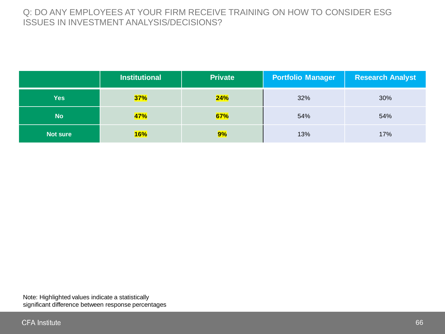#### Q: DO ANY EMPLOYEES AT YOUR FIRM RECEIVE TRAINING ON HOW TO CONSIDER ESG ISSUES IN INVESTMENT ANALYSIS/DECISIONS?

|                 | <b>Institutional</b> | <b>Private</b> | <b>Portfolio Manager</b> | <b>Research Analyst</b> |
|-----------------|----------------------|----------------|--------------------------|-------------------------|
| Yes             | 37%                  | 24%            | 32%                      | 30%                     |
| <b>No</b>       | 47%                  | 67%            | 54%                      | 54%                     |
| <b>Not sure</b> | <b>16%</b>           | 9%             | 13%                      | 17%                     |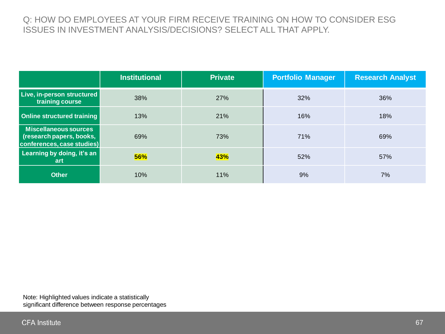#### Q: HOW DO EMPLOYEES AT YOUR FIRM RECEIVE TRAINING ON HOW TO CONSIDER ESG ISSUES IN INVESTMENT ANALYSIS/DECISIONS? SELECT ALL THAT APPLY.

|                                                                                 | <b>Institutional</b> | <b>Private</b> | <b>Portfolio Manager</b> | <b>Research Analyst</b> |
|---------------------------------------------------------------------------------|----------------------|----------------|--------------------------|-------------------------|
| Live, in-person structured<br>training course                                   | 38%                  | 27%            | 32%                      | 36%                     |
| Online structured training                                                      | 13%                  | 21%            | 16%                      | 18%                     |
| Miscellaneous sources<br>(research papers, books,<br>conferences, case studies) | 69%                  | 73%            | 71%                      | 69%                     |
| Learning by doing, it's an<br>art                                               | 56%                  | 43%            | 52%                      | 57%                     |
| <b>Other</b>                                                                    | 10%                  | 11%            | 9%                       | 7%                      |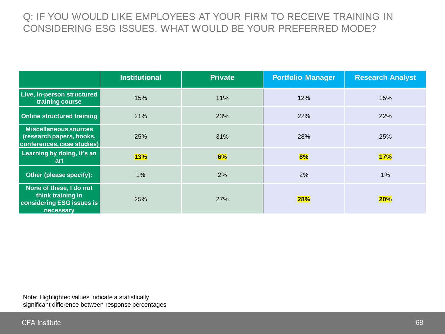## Q: IF YOU WOULD LIKE EMPLOYEES AT YOUR FIRM TO RECEIVE TRAINING IN CONSIDERING ESG ISSUES, WHAT WOULD BE YOUR PREFERRED MODE?

|                                                                                        | <b>Institutional</b> | <b>Private</b> | <b>Portfolio Manager</b> | <b>Research Analyst</b> |
|----------------------------------------------------------------------------------------|----------------------|----------------|--------------------------|-------------------------|
| Live, in-person structured<br>training course                                          | 15%                  | 11%            | 12%                      | 15%                     |
| <b>Online structured training</b>                                                      | 21%                  | 23%            | 22%                      | 22%                     |
| <b>Miscellaneous sources</b><br>(research papers, books,<br>conferences, case studies) | 25%                  | 31%            | 28%                      | <b>25%</b>              |
| Learning by doing, it's an<br><b>art</b>                                               | 13%                  | 6%             | 8%                       | 17%                     |
| Other (please specify):                                                                | $1\%$                | 2%             | 2%                       | $1\%$                   |
| None of these, I do not<br>think training in<br>considering ESG issues is<br>necessary | 25%                  | <b>27%</b>     | 28%                      | <b>20%</b>              |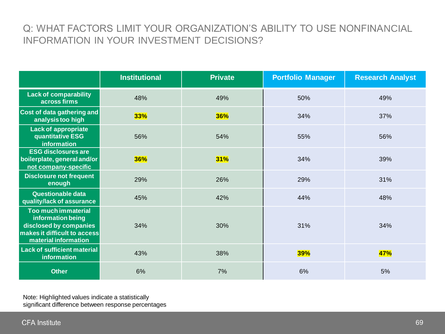## Q: WHAT FACTORS LIMIT YOUR ORGANIZATION'S ABILITY TO USE NONFINANCIAL INFORMATION IN YOUR INVESTMENT DECISIONS?

|                                                                                                                            | <b>Institutional</b> | <b>Private</b> | <b>Portfolio Manager</b> | <b>Research Analyst</b> |
|----------------------------------------------------------------------------------------------------------------------------|----------------------|----------------|--------------------------|-------------------------|
| <b>Lack of comparability</b><br>across firms                                                                               | 48%                  | 49%            | 50%                      | 49%                     |
| Cost of data gathering and<br>analysis too high                                                                            | 33%                  | 36%            | 34%                      | 37%                     |
| <b>Lack of appropriate</b><br>quantitative ESG<br>information                                                              | 56%                  | 54%            | 55%                      | 56%                     |
| <b>ESG disclosures are</b><br>boilerplate, general and/or<br>not company-specific                                          | <b>36%</b>           | 31%            | 34%                      | 39%                     |
| <b>Disclosure not frequent</b><br>enough                                                                                   | 29%                  | 26%            | 29%                      | 31%                     |
| Questionable data<br>quality/lack of assurance                                                                             | 45%                  | 42%            | 44%                      | 48%                     |
| Too much immaterial<br>information being<br>disclosed by companies<br>makes it difficult to access<br>material information | 34%                  | 30%            | 31%                      | 34%                     |
| <b>Lack of sufficient material</b><br>information                                                                          | 43%                  | 38%            | <b>39%</b>               | 47%                     |
| <b>Other</b>                                                                                                               | 6%                   | 7%             | 6%                       | 5%                      |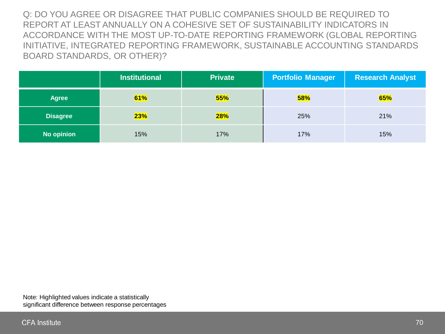Q: DO YOU AGREE OR DISAGREE THAT PUBLIC COMPANIES SHOULD BE REQUIRED TO REPORT AT LEAST ANNUALLY ON A COHESIVE SET OF SUSTAINABILITY INDICATORS IN ACCORDANCE WITH THE MOST UP-TO-DATE REPORTING FRAMEWORK (GLOBAL REPORTING INITIATIVE, INTEGRATED REPORTING FRAMEWORK, SUSTAINABLE ACCOUNTING STANDARDS BOARD STANDARDS, OR OTHER)?

|                   | <b>Institutional</b> | <b>Private</b> | <b>Portfolio Manager</b> | <b>Research Analyst</b> |
|-------------------|----------------------|----------------|--------------------------|-------------------------|
| <b>Agree</b>      | 61%                  | 55%            | <b>58%</b>               | 65%                     |
| <b>Disagree</b>   | 23%                  | 28%            | 25%                      | 21%                     |
| <b>No opinion</b> | 15%                  | 17%            | 17%                      | 15%                     |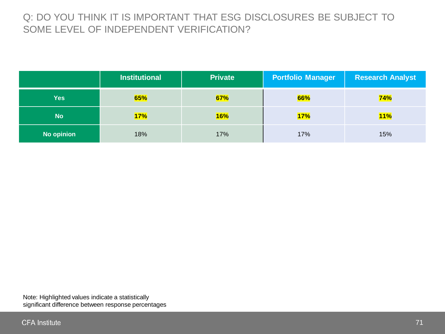## Q: DO YOU THINK IT IS IMPORTANT THAT ESG DISCLOSURES BE SUBJECT TO SOME LEVEL OF INDEPENDENT VERIFICATION?

|                   | <b>Institutional</b> | <b>Private</b> | <b>Portfolio Manager</b> | <b>Research Analyst</b> |
|-------------------|----------------------|----------------|--------------------------|-------------------------|
| <b>Yes</b>        | 65%                  | 67%            | 66%                      | 74%                     |
| <b>No</b>         | 17%                  | 16%            | 17%                      | <b>11%</b>              |
| <b>No opinion</b> | 18%                  | 17%            | 17%                      | 15%                     |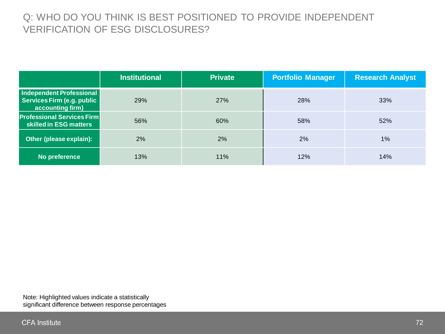## Q: WHO DO YOU THINK IS BEST POSITIONED TO PROVIDE INDEPENDENT VERIFICATION OF ESG DISCLOSURES?

|                                                                            | <b>Institutional</b> | <b>Private</b> | <b>Portfolio Manager</b> | <b>Research Analyst</b> |
|----------------------------------------------------------------------------|----------------------|----------------|--------------------------|-------------------------|
| Independent Professional<br>Services Firm (e.g. public<br>accounting firm) | 29%                  | 27%            | 28%                      | 33%                     |
| <b>Professional Services Firm</b><br>skilled in ESG matters                | 56%                  | 60%            | 58%                      | 52%                     |
| Other (please explain):                                                    | 2%                   | 2%             | 2%                       | $1\%$                   |
| No preference                                                              | 13%                  | 11%            | 12%                      | 14%                     |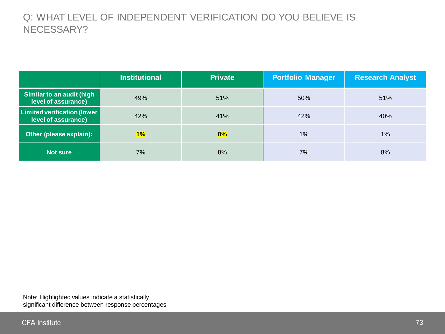### Q: WHAT LEVEL OF INDEPENDENT VERIFICATION DO YOU BELIEVE IS NECESSARY?

|                                                           | <b>Institutional</b> | <b>Private</b> | <b>Portfolio Manager</b> | <b>Research Analyst</b> |
|-----------------------------------------------------------|----------------------|----------------|--------------------------|-------------------------|
| Similar to an audit (high<br>level of assurance)          | 49%                  | 51%            | 50%                      | 51%                     |
| <b>Limited verification (lower</b><br>level of assurance) | 42%                  | 41%            | 42%                      | 40%                     |
| Other (please explain):                                   | 1%                   | 0%             | 1%                       | 1%                      |
| <b>Not sure</b>                                           | 7%                   | 8%             | 7%                       | 8%                      |

Note: Highlighted values indicate a statistically significant difference between response percentages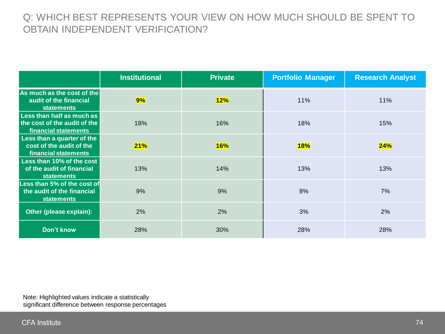### Q: WHICH BEST REPRESENTS YOUR VIEW ON HOW MUCH SHOULD BE SPENT TO OBTAIN INDEPENDENT VERIFICATION?

|                                                                                   | <b>Institutional</b> | <b>Private</b> | <b>Portfolio Manager</b> | <b>Research Analyst</b> |
|-----------------------------------------------------------------------------------|----------------------|----------------|--------------------------|-------------------------|
| As much as the cost of the<br>audit of the financial<br><b>statements</b>         | 9%                   | 12%            | 11%                      | 11%                     |
| Less than half as much as<br>the cost of the audit of the<br>financial statements | 18%                  | 16%            | 18%                      | 15%                     |
| Less than a quarter of the<br>cost of the audit of the<br>financial statements    | 21%                  | <b>16%</b>     | <b>18%</b>               | 24%                     |
| Less than 10% of the cost<br>of the audit of financial<br><b>statements</b>       | 13%                  | 14%            | 13%                      | 13%                     |
| Less than 5% of the cost of<br>the audit of the financial<br><b>statements</b>    | 9%                   | 9%             | 8%                       | 7%                      |
| Other (please explain):                                                           | 2%                   | 2%             | 3%                       | 2%                      |
| Don't know                                                                        | 28%                  | 30%            | 28%                      | 28%                     |

Note: Highlighted values indicate a statistically significant difference between response percentages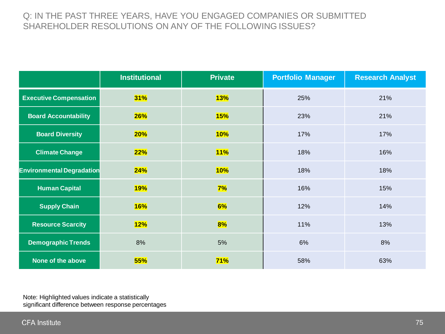#### Q: IN THE PAST THREE YEARS, HAVE YOU ENGAGED COMPANIES OR SUBMITTED SHAREHOLDER RESOLUTIONS ON ANY OF THE FOLLOWING ISSUES?

|                                  | <b>Institutional</b> | <b>Private</b> | <b>Portfolio Manager</b> | <b>Research Analyst</b> |
|----------------------------------|----------------------|----------------|--------------------------|-------------------------|
| <b>Executive Compensation</b>    | 31%                  | <b>13%</b>     | 25%                      | 21%                     |
| <b>Board Accountability</b>      | 26%                  | <b>15%</b>     | 23%                      | 21%                     |
| <b>Board Diversity</b>           | 20%                  | 10%            | 17%                      | 17%                     |
| <b>Climate Change</b>            | 22%                  | 11%            | 18%                      | 16%                     |
| <b>Environmental Degradation</b> | 24%                  | <b>10%</b>     | 18%                      | 18%                     |
| <b>Human Capital</b>             | <b>19%</b>           | 7%             | 16%                      | 15%                     |
| <b>Supply Chain</b>              | <b>16%</b>           | 6%             | 12%                      | 14%                     |
| <b>Resource Scarcity</b>         | 12%                  | 8%             | 11%                      | 13%                     |
| <b>Demographic Trends</b>        | 8%                   | 5%             | 6%                       | 8%                      |
| None of the above                | 55%                  | 71%            | 58%                      | 63%                     |

Note: Highlighted values indicate a statistically significant difference between response percentages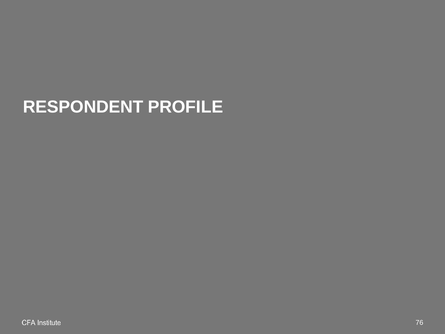# **RESPONDENT PROFILE**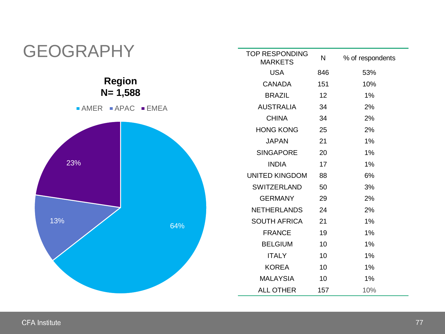

#### **CFA Institute**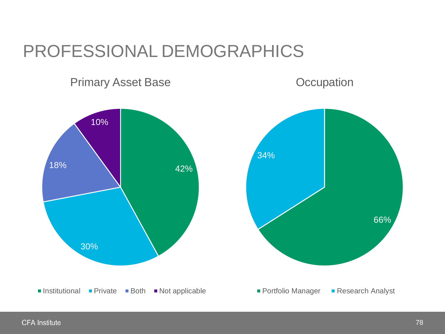## PROFESSIONAL DEMOGRAPHICS

### Primary Asset Base

**Occupation**